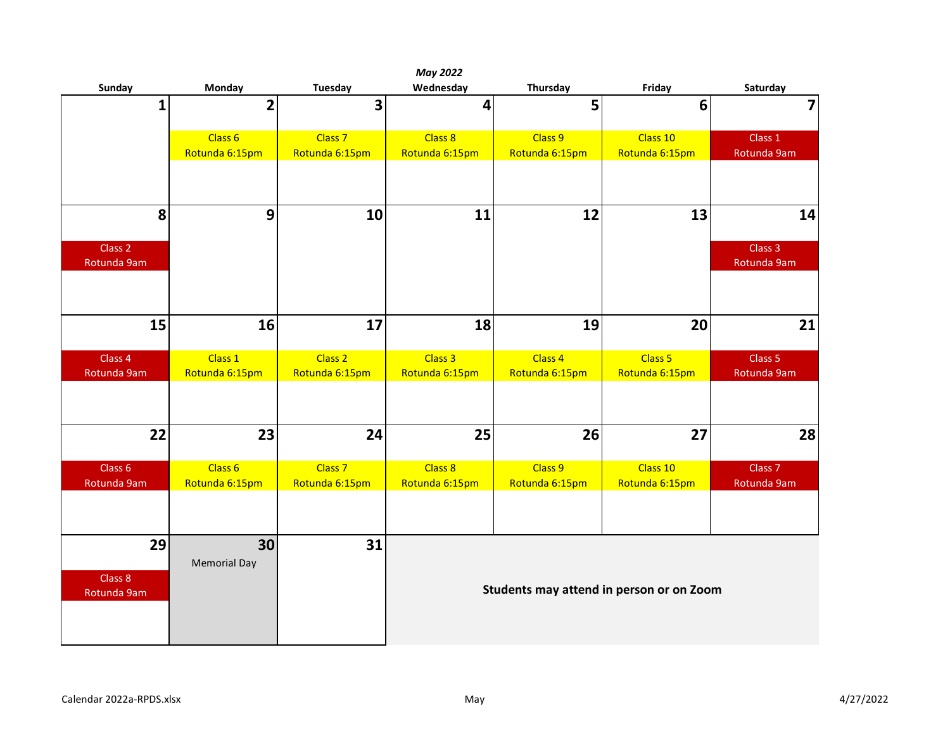|                                   |                     |                    | <b>May 2022</b> |                                          |                    |                        |
|-----------------------------------|---------------------|--------------------|-----------------|------------------------------------------|--------------------|------------------------|
| Sunday                            | Monday              | Tuesday            | Wednesday       | Thursday                                 | Friday             | Saturday               |
| $\mathbf 1$                       | $\overline{2}$      | 3                  | 4               | 5                                        | $6\phantom{1}6$    | $\overline{7}$         |
|                                   | Class 6             | Class <sub>7</sub> | Class 8         | Class 9                                  | Class 10           | Class 1                |
|                                   | Rotunda 6:15pm      | Rotunda 6:15pm     | Rotunda 6:15pm  | Rotunda 6:15pm                           | Rotunda 6:15pm     | Rotunda 9am            |
|                                   |                     |                    |                 |                                          |                    |                        |
| 8                                 | 9                   | 10                 | 11              | 12                                       | 13                 | 14                     |
| Class <sub>2</sub><br>Rotunda 9am |                     |                    |                 |                                          |                    | Class 3<br>Rotunda 9am |
|                                   |                     |                    |                 |                                          |                    |                        |
| 15                                | 16                  | 17                 | 18              | 19                                       | 20                 | 21                     |
| Class 4                           | Class 1             | Class <sub>2</sub> | Class 3         | Class 4                                  | Class <sub>5</sub> | Class <sub>5</sub>     |
| Rotunda 9am                       | Rotunda 6:15pm      | Rotunda 6:15pm     | Rotunda 6:15pm  | Rotunda 6:15pm                           | Rotunda 6:15pm     | Rotunda 9am            |
|                                   |                     |                    |                 |                                          |                    |                        |
| 22                                | 23                  | 24                 | 25              | 26                                       | 27                 | 28                     |
| Class <sub>6</sub>                | Class 6             | Class <sub>7</sub> | Class 8         | Class 9                                  | Class 10           | Class <sub>7</sub>     |
| Rotunda 9am                       | Rotunda 6:15pm      | Rotunda 6:15pm     | Rotunda 6:15pm  | Rotunda 6:15pm                           | Rotunda 6:15pm     | Rotunda 9am            |
|                                   |                     |                    |                 |                                          |                    |                        |
| 29                                | 30                  | 31                 |                 |                                          |                    |                        |
|                                   | <b>Memorial Day</b> |                    |                 |                                          |                    |                        |
| Class 8<br>Rotunda 9am            |                     |                    |                 | Students may attend in person or on Zoom |                    |                        |
|                                   |                     |                    |                 |                                          |                    |                        |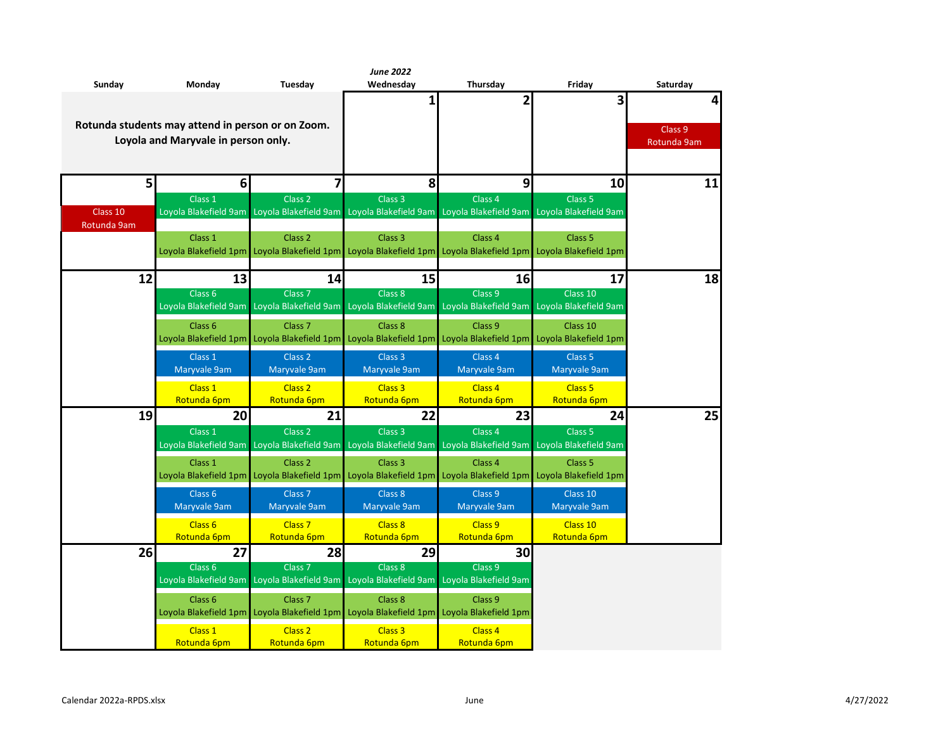|                |                                                   |                                             | <b>June 2022</b>      |                                                                                                               |                    |             |  |  |  |  |  |  |  |
|----------------|---------------------------------------------------|---------------------------------------------|-----------------------|---------------------------------------------------------------------------------------------------------------|--------------------|-------------|--|--|--|--|--|--|--|
| Sunday         | Monday                                            | Tuesday                                     | Wednesday             | Thursday                                                                                                      | Friday             | Saturday    |  |  |  |  |  |  |  |
|                |                                                   |                                             | 1                     | 2                                                                                                             | 3                  | 4           |  |  |  |  |  |  |  |
|                | Rotunda students may attend in person or on Zoom. |                                             |                       |                                                                                                               |                    |             |  |  |  |  |  |  |  |
|                | Loyola and Maryvale in person only.               |                                             |                       |                                                                                                               |                    | Class 9     |  |  |  |  |  |  |  |
|                |                                                   |                                             |                       |                                                                                                               |                    | Rotunda 9am |  |  |  |  |  |  |  |
|                |                                                   |                                             |                       |                                                                                                               |                    |             |  |  |  |  |  |  |  |
| 5 <sup>1</sup> | 6                                                 | 7                                           | 8                     | 9                                                                                                             | 10                 | 11          |  |  |  |  |  |  |  |
|                | Class <sub>1</sub>                                | Class <sub>2</sub>                          | Class <sub>3</sub>    | Class 4                                                                                                       | Class <sub>5</sub> |             |  |  |  |  |  |  |  |
| Class 10       |                                                   |                                             |                       | Loyola Blakefield 9am Loyola Blakefield 9am Loyola Blakefield 9am Loyola Blakefield 9am Loyola Blakefield 9am |                    |             |  |  |  |  |  |  |  |
| Rotunda 9am    |                                                   |                                             |                       |                                                                                                               |                    |             |  |  |  |  |  |  |  |
|                | Class 1                                           | Class <sub>2</sub>                          | Class <sub>3</sub>    | Class <sub>4</sub>                                                                                            | Class <sub>5</sub> |             |  |  |  |  |  |  |  |
|                |                                                   |                                             |                       | Loyola Blakefield 1pm Loyola Blakefield 1pm Loyola Blakefield 1pm Loyola Blakefield 1pm Loyola Blakefield 1pm |                    |             |  |  |  |  |  |  |  |
| 12             | 13                                                | 14                                          | 15                    | 16                                                                                                            | 17                 | 18          |  |  |  |  |  |  |  |
|                | Class <sub>6</sub>                                | Class <sub>7</sub>                          | Class <sub>8</sub>    | Class 9                                                                                                       | Class 10           |             |  |  |  |  |  |  |  |
|                |                                                   |                                             |                       | Loyola Blakefield 9am Loyola Blakefield 9am Loyola Blakefield 9am Loyola Blakefield 9am Loyola Blakefield 9am |                    |             |  |  |  |  |  |  |  |
|                | Class <sub>6</sub>                                | Class <sub>7</sub>                          | Class <sub>8</sub>    | Class <sub>9</sub>                                                                                            | Class 10           |             |  |  |  |  |  |  |  |
|                |                                                   | Loyola Blakefield 1pm Loyola Blakefield 1pm |                       | Loyola Blakefield 1pm Loyola Blakefield 1pm Loyola Blakefield 1pm                                             |                    |             |  |  |  |  |  |  |  |
|                | Class 1                                           | Class 2                                     | Class <sub>3</sub>    | Class <sub>4</sub>                                                                                            | Class 5            |             |  |  |  |  |  |  |  |
|                | Maryvale 9am                                      | Maryvale 9am                                | Maryvale 9am          | Maryvale 9am                                                                                                  | Maryvale 9am       |             |  |  |  |  |  |  |  |
|                | Class 1                                           | Class <sub>2</sub>                          | Class <sub>3</sub>    | Class 4                                                                                                       | Class <sub>5</sub> |             |  |  |  |  |  |  |  |
|                | Rotunda 6pm                                       | Rotunda 6pm                                 | Rotunda 6pm           | Rotunda 6pm                                                                                                   | Rotunda 6pm        |             |  |  |  |  |  |  |  |
| 19             | 20                                                | 21                                          | 22                    | 23                                                                                                            | 24                 | 25          |  |  |  |  |  |  |  |
|                | Class 1                                           | Class <sub>2</sub>                          | Class <sub>3</sub>    | Class <sub>4</sub>                                                                                            | Class <sub>5</sub> |             |  |  |  |  |  |  |  |
|                | Loyola Blakefield 9am                             |                                             |                       | Loyola Blakefield 9am Loyola Blakefield 9am Loyola Blakefield 9am Loyola Blakefield 9am                       |                    |             |  |  |  |  |  |  |  |
|                | Class 1                                           | Class <sub>2</sub>                          | Class <sub>3</sub>    | Class 4                                                                                                       | Class <sub>5</sub> |             |  |  |  |  |  |  |  |
|                |                                                   | Loyola Blakefield 1pm Loyola Blakefield 1pm |                       | Loyola Blakefield 1pm Loyola Blakefield 1pm Loyola Blakefield 1pm                                             |                    |             |  |  |  |  |  |  |  |
|                | Class <sub>6</sub>                                | Class <sub>7</sub>                          | Class 8               | Class 9                                                                                                       | Class 10           |             |  |  |  |  |  |  |  |
|                | Maryvale 9am                                      | Maryvale 9am                                | Maryvale 9am          | Maryvale 9am                                                                                                  | Maryvale 9am       |             |  |  |  |  |  |  |  |
|                | Class <sub>6</sub>                                | Class <sub>7</sub>                          | Class 8               | Class 9                                                                                                       | Class 10           |             |  |  |  |  |  |  |  |
|                | Rotunda 6pm                                       | Rotunda 6pm                                 | Rotunda 6pm           | Rotunda 6pm                                                                                                   | Rotunda 6pm        |             |  |  |  |  |  |  |  |
| 26             | 27                                                | 28                                          | 29                    | 30                                                                                                            |                    |             |  |  |  |  |  |  |  |
|                | Class <sub>6</sub>                                | Class <sub>7</sub>                          | Class 8               | Class 9                                                                                                       |                    |             |  |  |  |  |  |  |  |
|                |                                                   | Loyola Blakefield 9am Loyola Blakefield 9am | Loyola Blakefield 9am | Loyola Blakefield 9am                                                                                         |                    |             |  |  |  |  |  |  |  |
|                | Class <sub>6</sub>                                | Class <sub>7</sub>                          | Class 8               | Class 9                                                                                                       |                    |             |  |  |  |  |  |  |  |
|                |                                                   | Loyola Blakefield 1pm Loyola Blakefield 1pm |                       | Loyola Blakefield 1pm Loyola Blakefield 1pm                                                                   |                    |             |  |  |  |  |  |  |  |
|                | Class 1                                           | Class <sub>2</sub>                          | Class <sub>3</sub>    | Class 4                                                                                                       |                    |             |  |  |  |  |  |  |  |
|                | Rotunda 6pm                                       | Rotunda 6pm                                 | Rotunda 6pm           | Rotunda 6pm                                                                                                   |                    |             |  |  |  |  |  |  |  |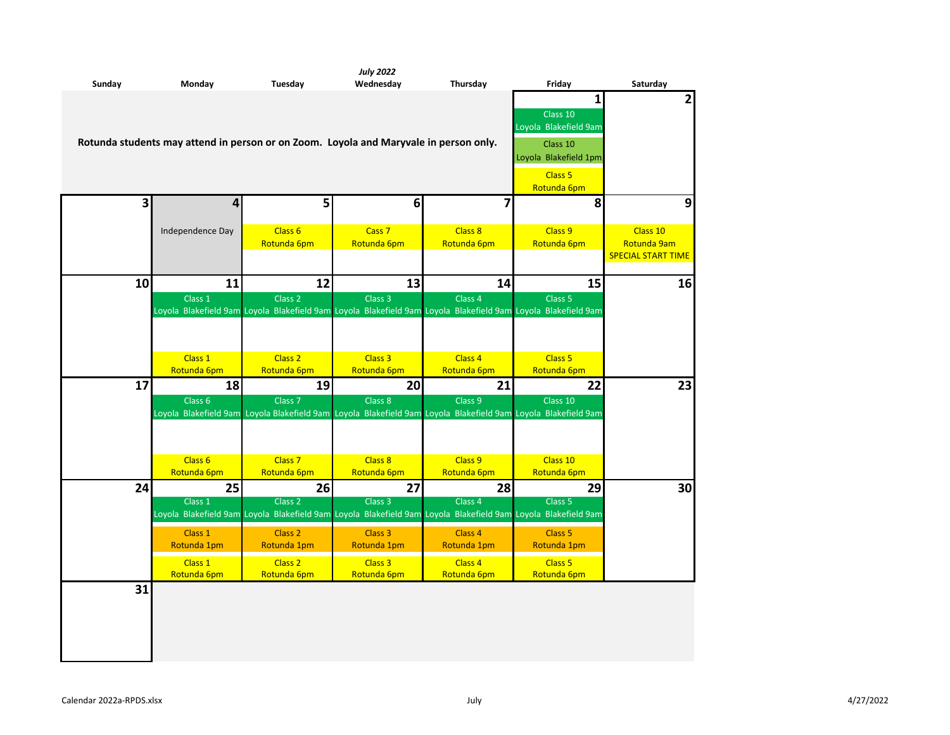| Sunday                  | Monday                                                                                | Tuesday                           | <b>July 2022</b><br>Wednesday    | Thursday                                                                                                                            | Friday                                               | Saturday                                             |
|-------------------------|---------------------------------------------------------------------------------------|-----------------------------------|----------------------------------|-------------------------------------------------------------------------------------------------------------------------------------|------------------------------------------------------|------------------------------------------------------|
|                         | Rotunda students may attend in person or on Zoom. Loyola and Maryvale in person only. |                                   |                                  |                                                                                                                                     | 1<br>Class 10<br>Loyola Blakefield 9am<br>Class 10   | $\overline{2}$                                       |
| $\overline{\mathbf{3}}$ | 4                                                                                     | 5                                 | 6                                | $\overline{\mathbf{z}}$                                                                                                             | Loyola Blakefield 1pm<br>Class 5<br>Rotunda 6pm<br>8 | 9                                                    |
|                         |                                                                                       |                                   |                                  |                                                                                                                                     |                                                      |                                                      |
|                         | Independence Day                                                                      | Class <sub>6</sub><br>Rotunda 6pm | Cass <sub>7</sub><br>Rotunda 6pm | Class 8<br>Rotunda 6pm                                                                                                              | Class 9<br>Rotunda 6pm                               | Class 10<br>Rotunda 9am<br><b>SPECIAL START TIME</b> |
| 10                      | 11                                                                                    | 12                                | 13                               | 14                                                                                                                                  | 15                                                   | 16                                                   |
|                         | Class 1                                                                               | Class <sub>2</sub>                | Class <sub>3</sub>               | Class <sub>4</sub><br>Loyola Blakefield 9am Loyola Blakefield 9am Loyola Blakefield 9am Loyola Blakefield 9am Loyola Blakefield 9am | Class <sub>5</sub>                                   |                                                      |
|                         | Class 1                                                                               | Class <sub>2</sub>                | Class <sub>3</sub>               | Class 4                                                                                                                             | Class <sub>5</sub>                                   |                                                      |
|                         | Rotunda 6pm                                                                           | Rotunda 6pm                       | Rotunda 6pm                      | Rotunda 6pm                                                                                                                         | Rotunda 6pm                                          |                                                      |
| 17                      | 18                                                                                    | 19                                | 20                               | 21                                                                                                                                  | 22                                                   | 23                                                   |
|                         | Class <sub>6</sub>                                                                    | Class <sub>7</sub>                | Class 8                          | Class 9<br>Loyola Blakefield 9am Loyola Blakefield 9am Loyola Blakefield 9am Loyola Blakefield 9am Loyola Blakefield 9am            | Class 10                                             |                                                      |
|                         | Class <sub>6</sub><br>Rotunda 6pm                                                     | Class <sub>7</sub><br>Rotunda 6pm | Class 8<br>Rotunda 6pm           | Class 9<br>Rotunda 6pm                                                                                                              | Class 10<br>Rotunda 6pm                              |                                                      |
| 24                      | 25<br>Class 1                                                                         | 26<br>Class <sub>2</sub>          | 27<br>Class <sub>3</sub>         | 28<br>Class <sub>4</sub>                                                                                                            | 29<br>Class <sub>5</sub>                             | 30                                                   |
|                         |                                                                                       |                                   |                                  | Loyola Blakefield 9am Loyola Blakefield 9am Loyola Blakefield 9am Loyola Blakefield 9am Loyola Blakefield 9am                       |                                                      |                                                      |
|                         | Class 1<br>Rotunda 1pm                                                                | Class <sub>2</sub><br>Rotunda 1pm | Class 3<br>Rotunda 1pm           | Class 4<br>Rotunda 1pm                                                                                                              | Class <sub>5</sub><br>Rotunda 1pm                    |                                                      |
|                         | Class 1<br>Rotunda 6pm                                                                | Class <sub>2</sub><br>Rotunda 6pm | Class 3<br>Rotunda 6pm           | Class 4<br>Rotunda 6pm                                                                                                              | Class <sub>5</sub><br>Rotunda 6pm                    |                                                      |
| 31                      |                                                                                       |                                   |                                  |                                                                                                                                     |                                                      |                                                      |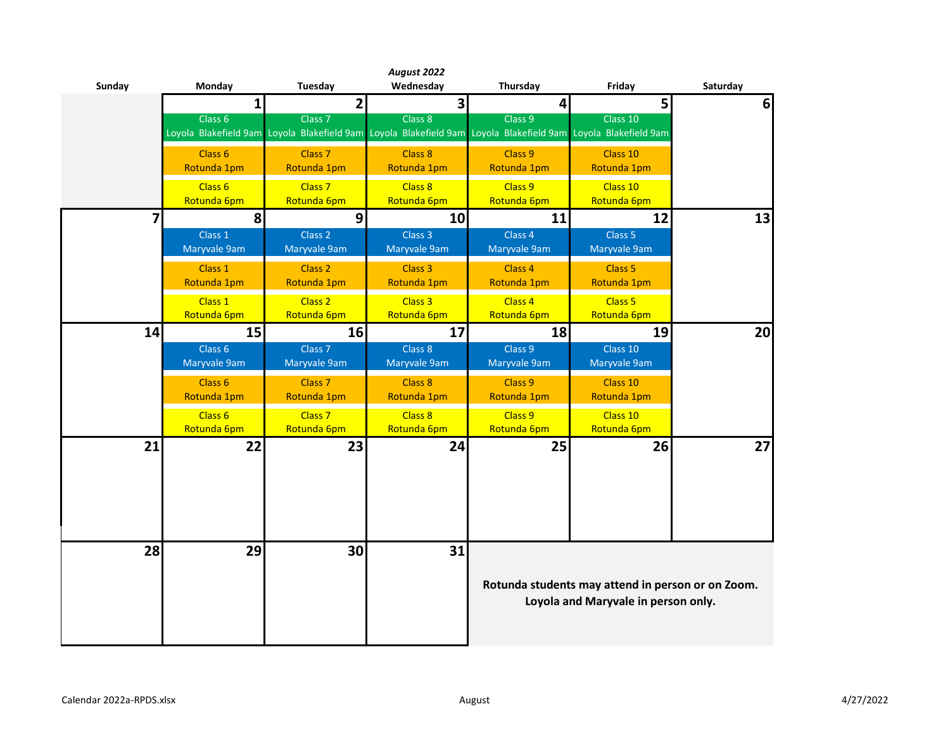| Sunday         | Monday                            | Tuesday                                                                                                                             | August 2022<br>Wednesday | Thursday                | Friday                                                                                   | Saturday |
|----------------|-----------------------------------|-------------------------------------------------------------------------------------------------------------------------------------|--------------------------|-------------------------|------------------------------------------------------------------------------------------|----------|
|                | 1                                 | 2                                                                                                                                   | $\overline{\mathbf{3}}$  | $\overline{\mathbf{4}}$ | 5                                                                                        | 6        |
|                | Class 6                           | Class <sub>7</sub><br>Loyola Blakefield 9am Loyola Blakefield 9am Loyola Blakefield 9am Loyola Blakefield 9am Loyola Blakefield 9am | Class 8                  | Class 9                 | Class 10                                                                                 |          |
|                | Class <sub>6</sub><br>Rotunda 1pm | Class <sub>7</sub><br>Rotunda 1pm                                                                                                   | Class 8<br>Rotunda 1pm   | Class 9<br>Rotunda 1pm  | Class 10<br>Rotunda 1pm                                                                  |          |
|                | Class 6<br>Rotunda 6pm            | Class <sub>7</sub><br>Rotunda 6pm                                                                                                   | Class 8<br>Rotunda 6pm   | Class 9<br>Rotunda 6pm  | Class 10<br>Rotunda 6pm                                                                  |          |
| $\overline{7}$ | 8                                 | 9                                                                                                                                   | 10                       | 11                      | 12                                                                                       | 13       |
|                | Class 1<br>Maryvale 9am           | Class <sub>2</sub><br>Maryvale 9am                                                                                                  | Class 3<br>Maryvale 9am  | Class 4<br>Maryvale 9am | Class <sub>5</sub><br>Maryvale 9am                                                       |          |
|                | Class 1<br>Rotunda 1pm            | Class 2<br>Rotunda 1pm                                                                                                              | Class 3<br>Rotunda 1pm   | Class 4<br>Rotunda 1pm  | Class <sub>5</sub><br>Rotunda 1pm                                                        |          |
|                | Class 1<br>Rotunda 6pm            | Class 2<br>Rotunda 6pm                                                                                                              | Class 3<br>Rotunda 6pm   | Class 4<br>Rotunda 6pm  | Class <sub>5</sub><br>Rotunda 6pm                                                        |          |
| 14             | 15                                | 16                                                                                                                                  | 17                       | 18                      | 19                                                                                       | 20       |
|                | Class 6<br>Maryvale 9am           | Class <sub>7</sub><br>Maryvale 9am                                                                                                  | Class 8<br>Maryvale 9am  | Class 9<br>Maryvale 9am | Class 10<br>Maryvale 9am                                                                 |          |
|                | Class <sub>6</sub><br>Rotunda 1pm | Class <sub>7</sub><br>Rotunda 1pm                                                                                                   | Class 8<br>Rotunda 1pm   | Class 9<br>Rotunda 1pm  | Class 10<br>Rotunda 1pm                                                                  |          |
|                | Class 6<br>Rotunda 6pm            | Class <sub>7</sub><br>Rotunda 6pm                                                                                                   | Class 8<br>Rotunda 6pm   | Class 9<br>Rotunda 6pm  | Class 10<br>Rotunda 6pm                                                                  |          |
| 21             | 22                                | 23                                                                                                                                  | 24                       | 25                      | 26                                                                                       | 27       |
|                |                                   |                                                                                                                                     |                          |                         |                                                                                          |          |
| 28             | 29                                | 30                                                                                                                                  | 31                       |                         | Rotunda students may attend in person or on Zoom.<br>Loyola and Maryvale in person only. |          |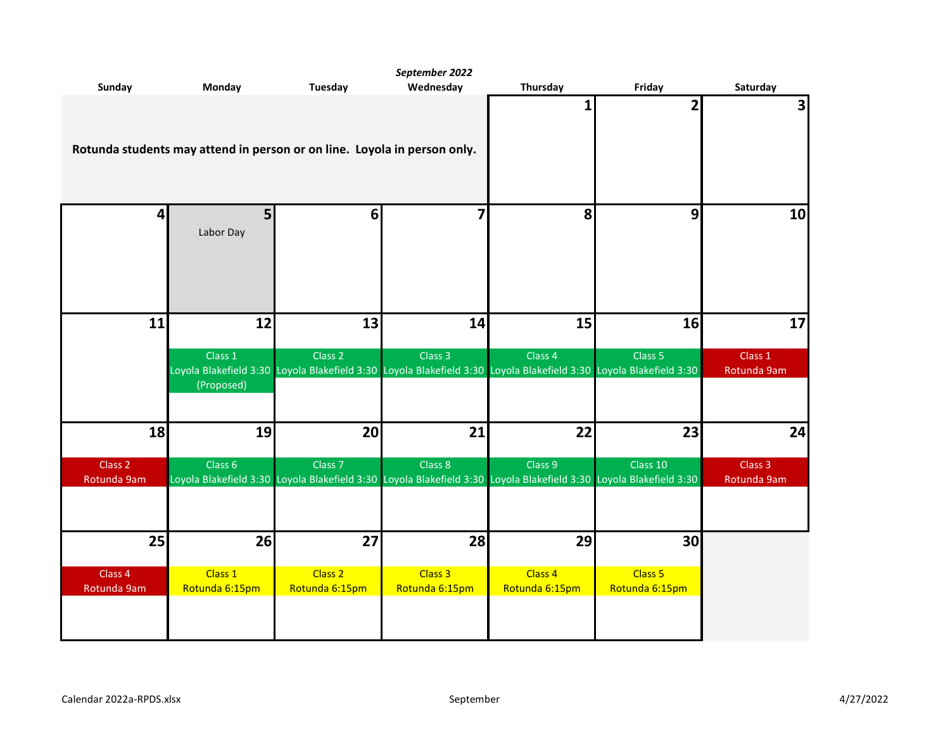|                                   |                                                                          |                    | September 2022          |                                                                                                                               |                    |                                   |
|-----------------------------------|--------------------------------------------------------------------------|--------------------|-------------------------|-------------------------------------------------------------------------------------------------------------------------------|--------------------|-----------------------------------|
| Sunday                            | <b>Monday</b>                                                            | <b>Tuesday</b>     | Wednesday               | <b>Thursday</b>                                                                                                               | Friday             | Saturday                          |
|                                   | Rotunda students may attend in person or on line. Loyola in person only. |                    |                         | 1                                                                                                                             | 2                  | υ                                 |
| $\overline{4}$                    | 5<br>Labor Day                                                           | 6                  | $\overline{\mathbf{z}}$ | 8                                                                                                                             | 9                  | 10                                |
| 11                                | 12                                                                       | 13                 | 14                      | 15                                                                                                                            | 16                 | 17                                |
|                                   |                                                                          |                    |                         |                                                                                                                               |                    |                                   |
|                                   | Class 1                                                                  | Class <sub>2</sub> | Class 3                 | Class 4<br>Loyola Blakefield 3:30 Loyola Blakefield 3:30 Loyola Blakefield 3:30 Loyola Blakefield 3:30 Loyola Blakefield 3:30 | Class <sub>5</sub> | Class 1<br>Rotunda 9am            |
|                                   | (Proposed)                                                               |                    |                         |                                                                                                                               |                    |                                   |
| 18                                | 19                                                                       | 20                 | 21                      | 22                                                                                                                            | 23                 | 24                                |
| Class <sub>2</sub><br>Rotunda 9am | Class <sub>6</sub>                                                       | Class <sub>7</sub> | Class 8                 | Class 9<br>Loyola Blakefield 3:30 Loyola Blakefield 3:30 Loyola Blakefield 3:30 Loyola Blakefield 3:30 Loyola Blakefield 3:30 | Class 10           | Class <sub>3</sub><br>Rotunda 9am |
|                                   |                                                                          |                    |                         |                                                                                                                               |                    |                                   |
| 25                                | 26                                                                       | 27                 | 28                      | 29                                                                                                                            | 30 <sub>l</sub>    |                                   |
| Class 4                           | Class 1                                                                  | Class 2            | Class 3                 | Class 4                                                                                                                       | Class 5            |                                   |
| Rotunda 9am                       | Rotunda 6:15pm                                                           | Rotunda 6:15pm     | Rotunda 6:15pm          | Rotunda 6:15pm                                                                                                                | Rotunda 6:15pm     |                                   |
|                                   |                                                                          |                    |                         |                                                                                                                               |                    |                                   |
|                                   |                                                                          |                    |                         |                                                                                                                               |                    |                                   |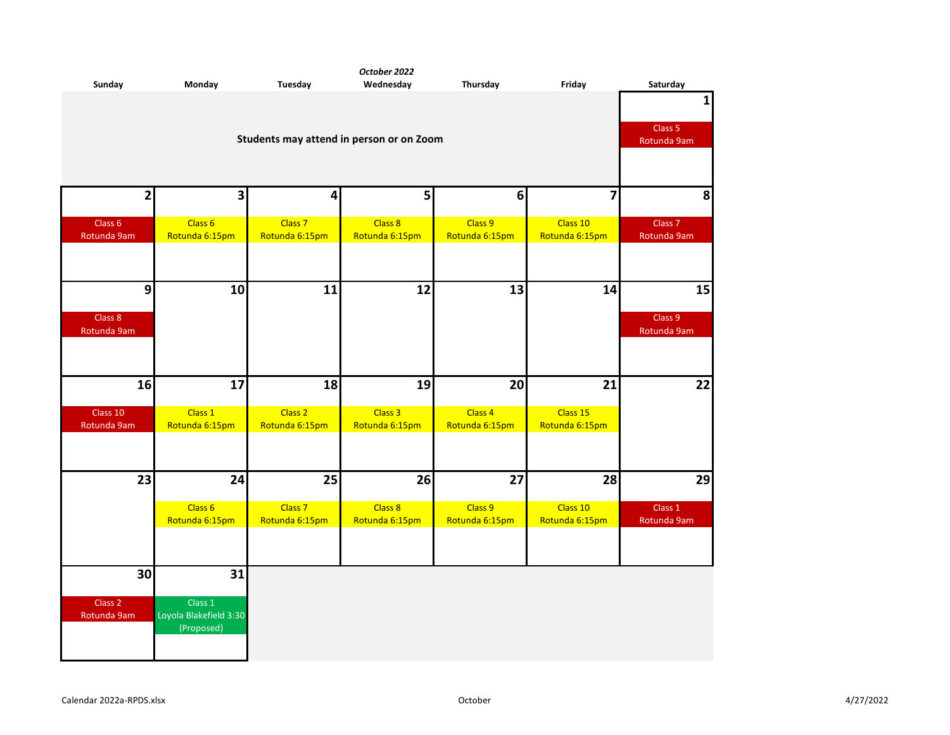| Sunday                            | <b>Monday</b>                            | <b>Tuesday</b>     | October 2022<br>Wednesday | Thursday       | Friday         | Saturday                          |  |  |
|-----------------------------------|------------------------------------------|--------------------|---------------------------|----------------|----------------|-----------------------------------|--|--|
|                                   |                                          |                    |                           |                |                | $\mathbf{1}$                      |  |  |
|                                   |                                          |                    |                           |                |                |                                   |  |  |
|                                   |                                          |                    |                           |                |                | Class 5<br>Rotunda 9am            |  |  |
|                                   | Students may attend in person or on Zoom |                    |                           |                |                |                                   |  |  |
|                                   |                                          |                    |                           |                |                |                                   |  |  |
|                                   |                                          |                    |                           |                |                |                                   |  |  |
| $\mathbf{2}$                      | 3                                        | 4                  | 5                         | $\bf 6$        | 7              | 8                                 |  |  |
|                                   |                                          |                    |                           |                |                |                                   |  |  |
| Class <sub>6</sub><br>Rotunda 9am | Class 6                                  | Class <sub>7</sub> | Class 8                   | Class 9        | Class 10       | Class <sub>7</sub><br>Rotunda 9am |  |  |
|                                   | Rotunda 6:15pm                           | Rotunda 6:15pm     | Rotunda 6:15pm            | Rotunda 6:15pm | Rotunda 6:15pm |                                   |  |  |
|                                   |                                          |                    |                           |                |                |                                   |  |  |
|                                   |                                          |                    |                           |                |                |                                   |  |  |
| 9                                 | 10                                       | 11                 | 12                        | 13             | 14             | 15                                |  |  |
|                                   |                                          |                    |                           |                |                |                                   |  |  |
| Class 8<br>Rotunda 9am            |                                          |                    |                           |                |                | Class 9<br>Rotunda 9am            |  |  |
|                                   |                                          |                    |                           |                |                |                                   |  |  |
|                                   |                                          |                    |                           |                |                |                                   |  |  |
|                                   |                                          |                    |                           |                |                |                                   |  |  |
| 16                                | 17                                       | 18                 | 19                        | 20             | 21             | 22                                |  |  |
| Class 10                          | Class 1                                  | Class <sub>2</sub> | Class 3                   | Class 4        | Class 15       |                                   |  |  |
| Rotunda 9am                       | Rotunda 6:15pm                           | Rotunda 6:15pm     | Rotunda 6:15pm            | Rotunda 6:15pm | Rotunda 6:15pm |                                   |  |  |
|                                   |                                          |                    |                           |                |                |                                   |  |  |
|                                   |                                          |                    |                           |                |                |                                   |  |  |
| 23                                | 24                                       | 25                 | 26                        | 27             | 28             | 29                                |  |  |
|                                   |                                          |                    |                           |                |                |                                   |  |  |
|                                   | Class 6                                  | Class <sub>7</sub> | Class 8                   | Class 9        | Class 10       | Class 1                           |  |  |
|                                   | Rotunda 6:15pm                           | Rotunda 6:15pm     | Rotunda 6:15pm            | Rotunda 6:15pm | Rotunda 6:15pm | Rotunda 9am                       |  |  |
|                                   |                                          |                    |                           |                |                |                                   |  |  |
|                                   |                                          |                    |                           |                |                |                                   |  |  |
| 30                                | 31                                       |                    |                           |                |                |                                   |  |  |
|                                   |                                          |                    |                           |                |                |                                   |  |  |
| Class <sub>2</sub>                | Class 1                                  |                    |                           |                |                |                                   |  |  |
| Rotunda 9am                       | Loyola Blakefield 3:30<br>(Proposed)     |                    |                           |                |                |                                   |  |  |
|                                   |                                          |                    |                           |                |                |                                   |  |  |
|                                   |                                          |                    |                           |                |                |                                   |  |  |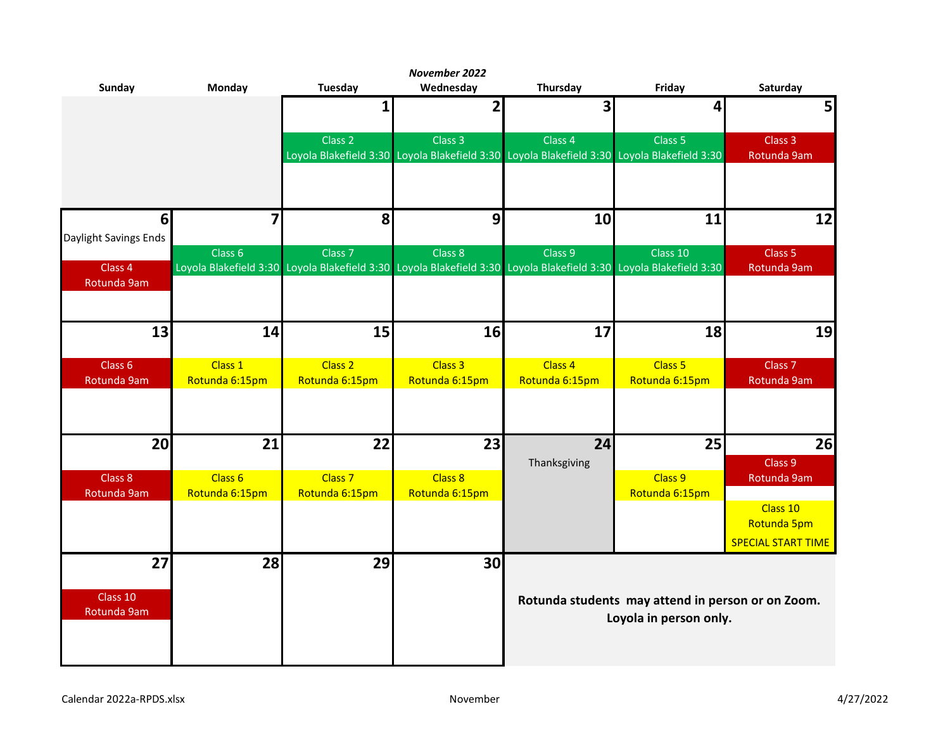|                                   |                           |                                      | November 2022             |                                                                                                                    |                                                   |                                   |
|-----------------------------------|---------------------------|--------------------------------------|---------------------------|--------------------------------------------------------------------------------------------------------------------|---------------------------------------------------|-----------------------------------|
| <b>Sunday</b>                     | <b>Monday</b>             | <b>Tuesday</b>                       | Wednesday                 | Thursday                                                                                                           | Friday                                            | Saturday                          |
|                                   |                           | 1                                    | $\mathbf{2}$              | $\overline{\mathbf{3}}$                                                                                            | 4                                                 | 5                                 |
|                                   |                           |                                      |                           |                                                                                                                    |                                                   |                                   |
|                                   |                           | Class 2                              | Class 3                   | Class 4                                                                                                            | Class 5                                           | Class 3                           |
|                                   |                           |                                      |                           | Loyola Blakefield 3:30 Loyola Blakefield 3:30 Loyola Blakefield 3:30 Loyola Blakefield 3:30                        |                                                   | Rotunda 9am                       |
|                                   |                           |                                      |                           |                                                                                                                    |                                                   |                                   |
|                                   |                           |                                      |                           |                                                                                                                    |                                                   |                                   |
| 6 <sup>1</sup>                    | $\overline{\mathbf{z}}$   | 8                                    | 9                         | 10                                                                                                                 | 11                                                | 12                                |
| Daylight Savings Ends             |                           |                                      |                           |                                                                                                                    |                                                   |                                   |
|                                   | Class <sub>6</sub>        | Class <sub>7</sub>                   | Class 8                   | Class 9                                                                                                            | Class 10                                          | Class 5                           |
| Class 4                           |                           |                                      |                           | Loyola Blakefield 3:30 Loyola Blakefield 3:30 Loyola Blakefield 3:30 Loyola Blakefield 3:30 Loyola Blakefield 3:30 |                                                   | Rotunda 9am                       |
| Rotunda 9am                       |                           |                                      |                           |                                                                                                                    |                                                   |                                   |
|                                   |                           |                                      |                           |                                                                                                                    |                                                   |                                   |
|                                   |                           |                                      |                           |                                                                                                                    |                                                   |                                   |
| 13                                | 14                        | 15                                   | 16                        | 17                                                                                                                 | 18                                                | 19                                |
|                                   |                           |                                      |                           |                                                                                                                    |                                                   |                                   |
| Class <sub>6</sub><br>Rotunda 9am | Class 1<br>Rotunda 6:15pm | Class <sub>2</sub><br>Rotunda 6:15pm | Class 3<br>Rotunda 6:15pm | Class 4<br>Rotunda 6:15pm                                                                                          | Class <sub>5</sub><br>Rotunda 6:15pm              | Class <sub>7</sub><br>Rotunda 9am |
|                                   |                           |                                      |                           |                                                                                                                    |                                                   |                                   |
|                                   |                           |                                      |                           |                                                                                                                    |                                                   |                                   |
|                                   |                           |                                      |                           |                                                                                                                    |                                                   |                                   |
| 20                                | 21                        | 22                                   | 23                        | 24                                                                                                                 | 25                                                | 26                                |
|                                   |                           |                                      |                           | Thanksgiving                                                                                                       |                                                   | Class 9                           |
| Class 8                           | Class 6                   | Class <sub>7</sub>                   | Class 8                   |                                                                                                                    | Class 9                                           | Rotunda 9am                       |
| Rotunda 9am                       | Rotunda 6:15pm            | Rotunda 6:15pm                       | Rotunda 6:15pm            |                                                                                                                    | Rotunda 6:15pm                                    |                                   |
|                                   |                           |                                      |                           |                                                                                                                    |                                                   | Class 10                          |
|                                   |                           |                                      |                           |                                                                                                                    |                                                   | Rotunda 5pm                       |
|                                   |                           |                                      |                           |                                                                                                                    |                                                   | <b>SPECIAL START TIME</b>         |
| 27                                | 28                        | 29                                   | 30                        |                                                                                                                    |                                                   |                                   |
|                                   |                           |                                      |                           |                                                                                                                    |                                                   |                                   |
| Class 10                          |                           |                                      |                           |                                                                                                                    | Rotunda students may attend in person or on Zoom. |                                   |
| Rotunda 9am                       |                           |                                      |                           |                                                                                                                    | Loyola in person only.                            |                                   |
|                                   |                           |                                      |                           |                                                                                                                    |                                                   |                                   |
|                                   |                           |                                      |                           |                                                                                                                    |                                                   |                                   |
|                                   |                           |                                      |                           |                                                                                                                    |                                                   |                                   |